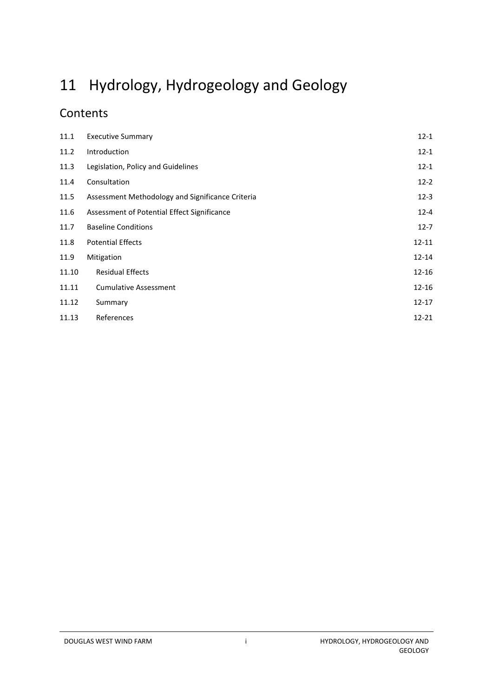# 11 Hydrology, Hydrogeology and Geology

# **Contents**

| 11.1  | <b>Executive Summary</b>                         | $12 - 1$  |
|-------|--------------------------------------------------|-----------|
| 11.2  | Introduction                                     | $12 - 1$  |
| 11.3  | Legislation, Policy and Guidelines               | $12 - 1$  |
| 11.4  | Consultation                                     | $12 - 2$  |
| 11.5  | Assessment Methodology and Significance Criteria | $12-3$    |
| 11.6  | Assessment of Potential Effect Significance      | $12 - 4$  |
| 11.7  | <b>Baseline Conditions</b>                       | $12 - 7$  |
| 11.8  | <b>Potential Effects</b>                         | $12 - 11$ |
| 11.9  | Mitigation                                       | 12-14     |
| 11.10 | <b>Residual Effects</b>                          | $12 - 16$ |
| 11.11 | <b>Cumulative Assessment</b>                     | 12-16     |
| 11.12 | Summary                                          | $12 - 17$ |
| 11.13 | References                                       | $12 - 21$ |
|       |                                                  |           |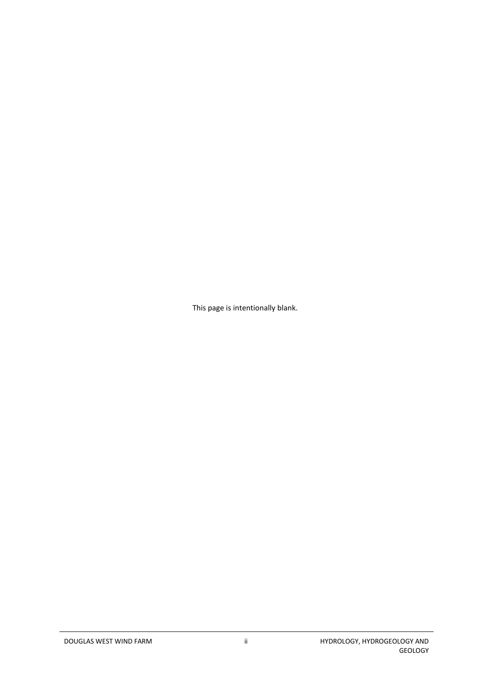This page is intentionally blank.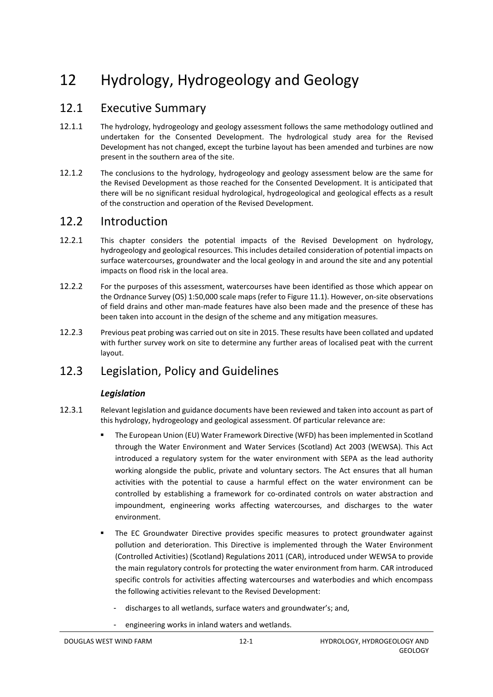# 12 Hydrology, Hydrogeology and Geology

# <span id="page-2-0"></span>12.1 Executive Summary

- 12.1.1 The hydrology, hydrogeology and geology assessment follows the same methodology outlined and undertaken for the Consented Development. The hydrological study area for the Revised Development has not changed, except the turbine layout has been amended and turbines are now present in the southern area of the site.
- 12.1.2 The conclusions to the hydrology, hydrogeology and geology assessment below are the same for the Revised Development as those reached for the Consented Development. It is anticipated that there will be no significant residual hydrological, hydrogeological and geological effects as a result of the construction and operation of the Revised Development.

## <span id="page-2-1"></span>12.2 Introduction

- 12.2.1 This chapter considers the potential impacts of the Revised Development on hydrology, hydrogeology and geological resources. This includes detailed consideration of potential impacts on surface watercourses, groundwater and the local geology in and around the site and any potential impacts on flood risk in the local area.
- 12.2.2 For the purposes of this assessment, watercourses have been identified as those which appear on the Ordnance Survey (OS) 1:50,000 scale maps (refer to Figure 11.1). However, on-site observations of field drains and other man-made features have also been made and the presence of these has been taken into account in the design of the scheme and any mitigation measures.
- 12.2.3 Previous peat probing was carried out on site in 2015. These results have been collated and updated with further survey work on site to determine any further areas of localised peat with the current layout.

# <span id="page-2-2"></span>12.3 Legislation, Policy and Guidelines

#### *Legislation*

- 12.3.1 Relevant legislation and guidance documents have been reviewed and taken into account as part of this hydrology, hydrogeology and geological assessment. Of particular relevance are:
	- The European Union (EU) Water Framework Directive (WFD) has been implemented in Scotland through the Water Environment and Water Services (Scotland) Act 2003 (WEWSA). This Act introduced a regulatory system for the water environment with SEPA as the lead authority working alongside the public, private and voluntary sectors. The Act ensures that all human activities with the potential to cause a harmful effect on the water environment can be controlled by establishing a framework for co-ordinated controls on water abstraction and impoundment, engineering works affecting watercourses, and discharges to the water environment.
	- The EC Groundwater Directive provides specific measures to protect groundwater against pollution and deterioration. This Directive is implemented through the Water Environment (Controlled Activities) (Scotland) Regulations 2011 (CAR), introduced under WEWSA to provide the main regulatory controls for protecting the water environment from harm. CAR introduced specific controls for activities affecting watercourses and waterbodies and which encompass the following activities relevant to the Revised Development:
		- discharges to all wetlands, surface waters and groundwater's; and,
		- engineering works in inland waters and wetlands.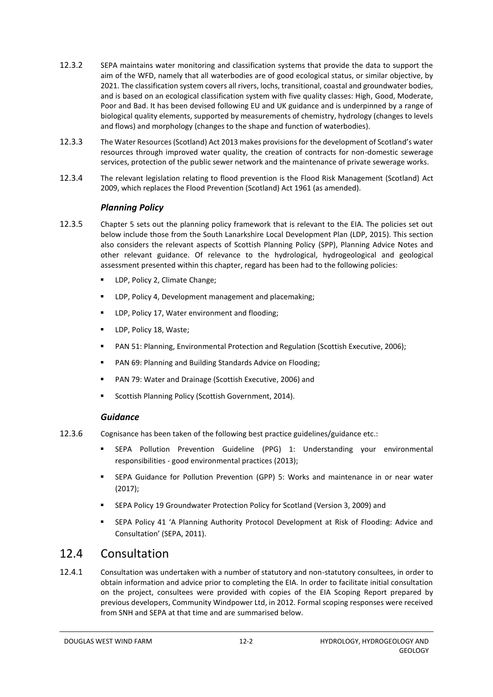- 12.3.2 SEPA maintains water monitoring and classification systems that provide the data to support the aim of the WFD, namely that all waterbodies are of good ecological status, or similar objective, by 2021. The classification system covers all rivers, lochs, transitional, coastal and groundwater bodies, and is based on an ecological classification system with five quality classes: High, Good, Moderate, Poor and Bad. It has been devised following EU and UK guidance and is underpinned by a range of biological quality elements, supported by measurements of chemistry, hydrology (changes to levels and flows) and morphology (changes to the shape and function of waterbodies).
- 12.3.3 The Water Resources (Scotland) Act 2013 makes provisions for the development of Scotland's water resources through improved water quality, the creation of contracts for non-domestic sewerage services, protection of the public sewer network and the maintenance of private sewerage works.
- 12.3.4 The relevant legislation relating to flood prevention is the Flood Risk Management (Scotland) Act 2009, which replaces the Flood Prevention (Scotland) Act 1961 (as amended).

#### *Planning Policy*

- 12.3.5 Chapter 5 sets out the planning policy framework that is relevant to the EIA. The policies set out below include those from the South Lanarkshire Local Development Plan (LDP, 2015). This section also considers the relevant aspects of Scottish Planning Policy (SPP), Planning Advice Notes and other relevant guidance. Of relevance to the hydrological, hydrogeological and geological assessment presented within this chapter, regard has been had to the following policies:
	- **LDP, Policy 2, Climate Change;**
	- **EXECT:** LDP, Policy 4, Development management and placemaking;
	- **EXECUTE:** LDP, Policy 17, Water environment and flooding;
	- **LDP, Policy 18, Waste;**
	- PAN 51: Planning, Environmental Protection and Regulation (Scottish Executive, 2006);
	- PAN 69: Planning and Building Standards Advice on Flooding;
	- PAN 79: Water and Drainage (Scottish Executive, 2006) and
	- **Scottish Planning Policy (Scottish Government, 2014).**

#### *Guidance*

- 12.3.6 Cognisance has been taken of the following best practice guidelines/guidance etc.:
	- SEPA Pollution Prevention Guideline (PPG) 1: Understanding your environmental responsibilities - good environmental practices (2013);
	- SEPA Guidance for Pollution Prevention (GPP) 5: Works and maintenance in or near water (2017);
	- SEPA Policy 19 Groundwater Protection Policy for Scotland (Version 3, 2009) and
	- SEPA Policy 41 'A Planning Authority Protocol Development at Risk of Flooding: Advice and Consultation' (SEPA, 2011).

### <span id="page-3-0"></span>12.4 Consultation

12.4.1 Consultation was undertaken with a number of statutory and non-statutory consultees, in order to obtain information and advice prior to completing the EIA. In order to facilitate initial consultation on the project, consultees were provided with copies of the EIA Scoping Report prepared by previous developers, Community Windpower Ltd, in 2012. Formal scoping responses were received from SNH and SEPA at that time and are summarised below.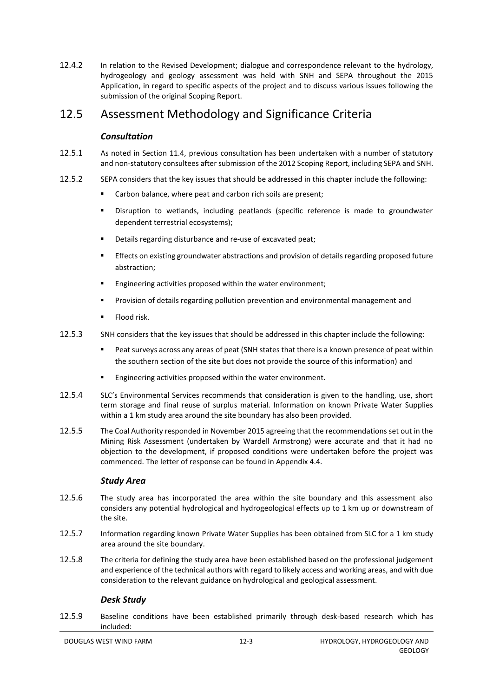12.4.2 In relation to the Revised Development; dialogue and correspondence relevant to the hydrology, hydrogeology and geology assessment was held with SNH and SEPA throughout the 2015 Application, in regard to specific aspects of the project and to discuss various issues following the submission of the original Scoping Report.

## <span id="page-4-0"></span>12.5 Assessment Methodology and Significance Criteria

#### *Consultation*

- 12.5.1 As noted in Section 11.4, previous consultation has been undertaken with a number of statutory and non-statutory consultees after submission of the 2012 Scoping Report, including SEPA and SNH.
- 12.5.2 SEPA considers that the key issues that should be addressed in this chapter include the following:
	- Carbon balance, where peat and carbon rich soils are present;
	- Disruption to wetlands, including peatlands (specific reference is made to groundwater dependent terrestrial ecosystems);
	- Details regarding disturbance and re-use of excavated peat;
	- **Effects on existing groundwater abstractions and provision of details regarding proposed future** abstraction;
	- **Engineering activities proposed within the water environment;**
	- **Provision of details regarding pollution prevention and environmental management and**
	- Flood risk.
- 12.5.3 SNH considers that the key issues that should be addressed in this chapter include the following:
	- Peat surveys across any areas of peat (SNH states that there is a known presence of peat within the southern section of the site but does not provide the source of this information) and
	- **Engineering activities proposed within the water environment.**
- 12.5.4 SLC's Environmental Services recommends that consideration is given to the handling, use, short term storage and final reuse of surplus material. Information on known Private Water Supplies within a 1 km study area around the site boundary has also been provided.
- 12.5.5 The Coal Authority responded in November 2015 agreeing that the recommendations set out in the Mining Risk Assessment (undertaken by Wardell Armstrong) were accurate and that it had no objection to the development, if proposed conditions were undertaken before the project was commenced. The letter of response can be found in Appendix 4.4.

#### *Study Area*

- 12.5.6 The study area has incorporated the area within the site boundary and this assessment also considers any potential hydrological and hydrogeological effects up to 1 km up or downstream of the site.
- 12.5.7 Information regarding known Private Water Supplies has been obtained from SLC for a 1 km study area around the site boundary.
- 12.5.8 The criteria for defining the study area have been established based on the professional judgement and experience of the technical authors with regard to likely access and working areas, and with due consideration to the relevant guidance on hydrological and geological assessment.

#### *Desk Study*

12.5.9 Baseline conditions have been established primarily through desk-based research which has included: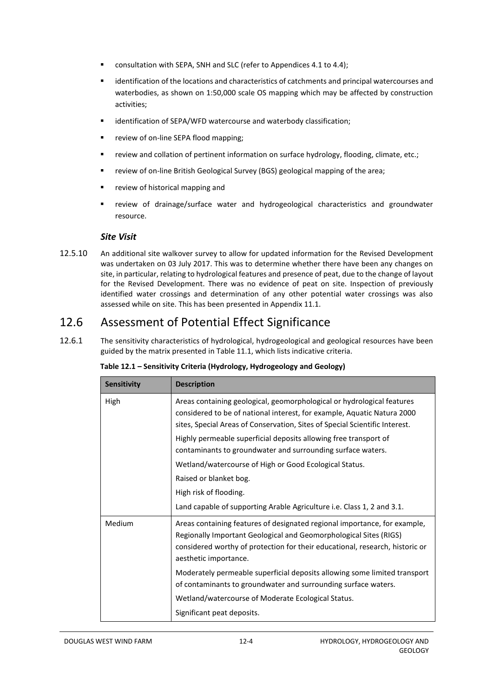- consultation with SEPA, SNH and SLC (refer to Appendices 4.1 to 4.4);
- identification of the locations and characteristics of catchments and principal watercourses and waterbodies, as shown on 1:50,000 scale OS mapping which may be affected by construction activities;
- identification of SEPA/WFD watercourse and waterbody classification;
- **•** review of on-line SEPA flood mapping:
- **•** review and collation of pertinent information on surface hydrology, flooding, climate, etc.;
- review of on-line British Geological Survey (BGS) geological mapping of the area;
- **•** review of historical mapping and
- review of drainage/surface water and hydrogeological characteristics and groundwater resource.

#### *Site Visit*

12.5.10 An additional site walkover survey to allow for updated information for the Revised Development was undertaken on 03 July 2017. This was to determine whether there have been any changes on site, in particular, relating to hydrological features and presence of peat, due to the change of layout for the Revised Development. There was no evidence of peat on site. Inspection of previously identified water crossings and determination of any other potential water crossings was also assessed while on site. This has been presented in Appendix 11.1.

# <span id="page-5-0"></span>12.6 Assessment of Potential Effect Significance

12.6.1 The sensitivity characteristics of hydrological, hydrogeological and geological resources have been guided by the matrix presented in Table 11.1, which lists indicative criteria.

| Sensitivity | <b>Description</b>                                                                                                                                                                                                                                                                                                                                                                                                                                                                |
|-------------|-----------------------------------------------------------------------------------------------------------------------------------------------------------------------------------------------------------------------------------------------------------------------------------------------------------------------------------------------------------------------------------------------------------------------------------------------------------------------------------|
| High        | Areas containing geological, geomorphological or hydrological features<br>considered to be of national interest, for example, Aquatic Natura 2000<br>sites, Special Areas of Conservation, Sites of Special Scientific Interest.<br>Highly permeable superficial deposits allowing free transport of<br>contaminants to groundwater and surrounding surface waters.<br>Wetland/watercourse of High or Good Ecological Status.<br>Raised or blanket bog.<br>High risk of flooding. |
|             | Land capable of supporting Arable Agriculture i.e. Class 1, 2 and 3.1.                                                                                                                                                                                                                                                                                                                                                                                                            |
| Medium      | Areas containing features of designated regional importance, for example,<br>Regionally Important Geological and Geomorphological Sites (RIGS)<br>considered worthy of protection for their educational, research, historic or<br>aesthetic importance.                                                                                                                                                                                                                           |
|             | Moderately permeable superficial deposits allowing some limited transport<br>of contaminants to groundwater and surrounding surface waters.                                                                                                                                                                                                                                                                                                                                       |
|             | Wetland/watercourse of Moderate Ecological Status.                                                                                                                                                                                                                                                                                                                                                                                                                                |
|             | Significant peat deposits.                                                                                                                                                                                                                                                                                                                                                                                                                                                        |

**Table 12.1 – Sensitivity Criteria (Hydrology, Hydrogeology and Geology)**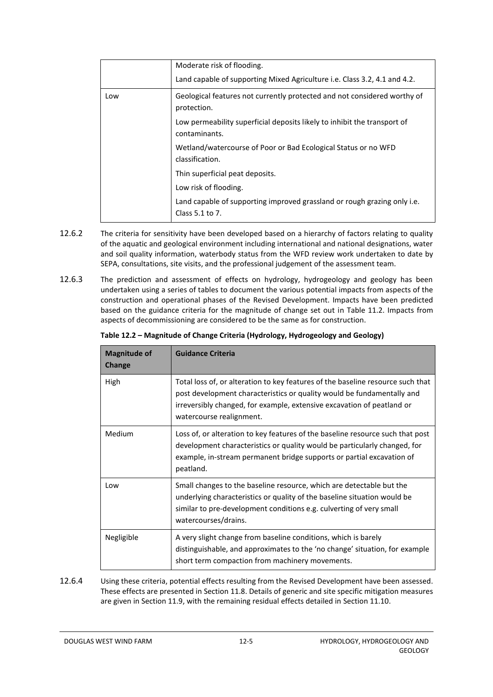|     | Moderate risk of flooding.                                                                  |
|-----|---------------------------------------------------------------------------------------------|
|     | Land capable of supporting Mixed Agriculture i.e. Class 3.2, 4.1 and 4.2.                   |
| Low | Geological features not currently protected and not considered worthy of<br>protection.     |
|     | Low permeability superficial deposits likely to inhibit the transport of<br>contaminants.   |
|     | Wetland/watercourse of Poor or Bad Ecological Status or no WFD<br>classification.           |
|     | Thin superficial peat deposits.                                                             |
|     | Low risk of flooding.                                                                       |
|     | Land capable of supporting improved grassland or rough grazing only i.e.<br>Class 5.1 to 7. |

- 12.6.2 The criteria for sensitivity have been developed based on a hierarchy of factors relating to quality of the aquatic and geological environment including international and national designations, water and soil quality information, waterbody status from the WFD review work undertaken to date by SEPA, consultations, site visits, and the professional judgement of the assessment team.
- 12.6.3 The prediction and assessment of effects on hydrology, hydrogeology and geology has been undertaken using a series of tables to document the various potential impacts from aspects of the construction and operational phases of the Revised Development. Impacts have been predicted based on the guidance criteria for the magnitude of change set out in Table 11.2. Impacts from aspects of decommissioning are considered to be the same as for construction.

**Table 12.2 – Magnitude of Change Criteria (Hydrology, Hydrogeology and Geology)**

| <b>Magnitude of</b><br>Change | <b>Guidance Criteria</b>                                                                                                                                                                                                                                        |
|-------------------------------|-----------------------------------------------------------------------------------------------------------------------------------------------------------------------------------------------------------------------------------------------------------------|
| High                          | Total loss of, or alteration to key features of the baseline resource such that<br>post development characteristics or quality would be fundamentally and<br>irreversibly changed, for example, extensive excavation of peatland or<br>watercourse realignment. |
| Medium                        | Loss of, or alteration to key features of the baseline resource such that post<br>development characteristics or quality would be particularly changed, for<br>example, in-stream permanent bridge supports or partial excavation of<br>peatland.               |
| Low                           | Small changes to the baseline resource, which are detectable but the<br>underlying characteristics or quality of the baseline situation would be<br>similar to pre-development conditions e.g. culverting of very small<br>watercourses/drains.                 |
| Negligible                    | A very slight change from baseline conditions, which is barely<br>distinguishable, and approximates to the 'no change' situation, for example<br>short term compaction from machinery movements.                                                                |

12.6.4 Using these criteria, potential effects resulting from the Revised Development have been assessed. These effects are presented in Section 11.8. Details of generic and site specific mitigation measures are given in Section 11.9, with the remaining residual effects detailed in Section 11.10.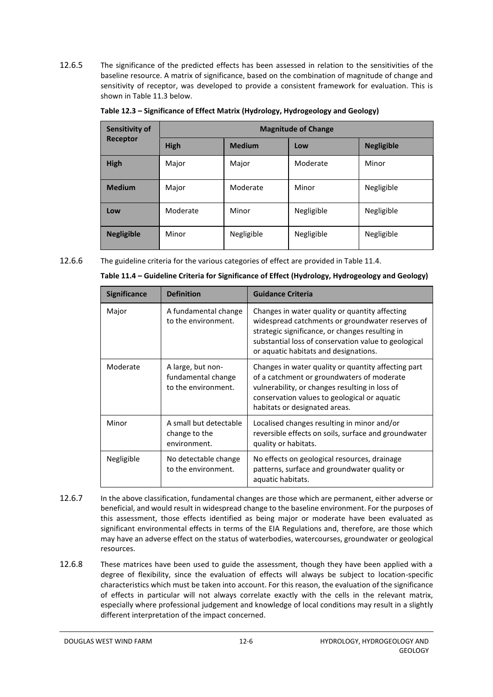12.6.5 The significance of the predicted effects has been assessed in relation to the sensitivities of the baseline resource. A matrix of significance, based on the combination of magnitude of change and sensitivity of receptor, was developed to provide a consistent framework for evaluation. This is shown in Table 11.3 below.

| Sensitivity of    |             |               | <b>Magnitude of Change</b> |                   |
|-------------------|-------------|---------------|----------------------------|-------------------|
| Receptor          | <b>High</b> | <b>Medium</b> | Low                        | <b>Negligible</b> |
| <b>High</b>       | Major       | Major         | Moderate                   | Minor             |
| <b>Medium</b>     | Major       | Moderate      | Minor                      | Negligible        |
| Low               | Moderate    | Minor         | Negligible                 | Negligible        |
| <b>Negligible</b> | Minor       | Negligible    | Negligible                 | Negligible        |

**Table 12.3 – Significance of Effect Matrix (Hydrology, Hydrogeology and Geology)**

| 12.6.6 |  | The guideline criteria for the various categories of effect are provided in Table 11.4. |  |  |
|--------|--|-----------------------------------------------------------------------------------------|--|--|
|--------|--|-----------------------------------------------------------------------------------------|--|--|

| Table 11.4 – Guideline Criteria for Significance of Effect (Hydrology, Hydrogeology and Geology) |  |  |  |
|--------------------------------------------------------------------------------------------------|--|--|--|
|--------------------------------------------------------------------------------------------------|--|--|--|

| <b>Significance</b> | <b>Definition</b>                                              | <b>Guidance Criteria</b>                                                                                                                                                                                                                               |
|---------------------|----------------------------------------------------------------|--------------------------------------------------------------------------------------------------------------------------------------------------------------------------------------------------------------------------------------------------------|
| Major               | A fundamental change<br>to the environment.                    | Changes in water quality or quantity affecting<br>widespread catchments or groundwater reserves of<br>strategic significance, or changes resulting in<br>substantial loss of conservation value to geological<br>or aquatic habitats and designations. |
| Moderate            | A large, but non-<br>fundamental change<br>to the environment. | Changes in water quality or quantity affecting part<br>of a catchment or groundwaters of moderate<br>vulnerability, or changes resulting in loss of<br>conservation values to geological or aquatic<br>habitats or designated areas.                   |
| Minor               | A small but detectable<br>change to the<br>environment.        | Localised changes resulting in minor and/or<br>reversible effects on soils, surface and groundwater<br>quality or habitats.                                                                                                                            |
| Negligible          | No detectable change<br>to the environment.                    | No effects on geological resources, drainage<br>patterns, surface and groundwater quality or<br>aquatic habitats.                                                                                                                                      |

- 12.6.7 In the above classification, fundamental changes are those which are permanent, either adverse or beneficial, and would result in widespread change to the baseline environment. For the purposes of this assessment, those effects identified as being major or moderate have been evaluated as significant environmental effects in terms of the EIA Regulations and, therefore, are those which may have an adverse effect on the status of waterbodies, watercourses, groundwater or geological resources.
- 12.6.8 These matrices have been used to guide the assessment, though they have been applied with a degree of flexibility, since the evaluation of effects will always be subject to location-specific characteristics which must be taken into account. For this reason, the evaluation of the significance of effects in particular will not always correlate exactly with the cells in the relevant matrix, especially where professional judgement and knowledge of local conditions may result in a slightly different interpretation of the impact concerned.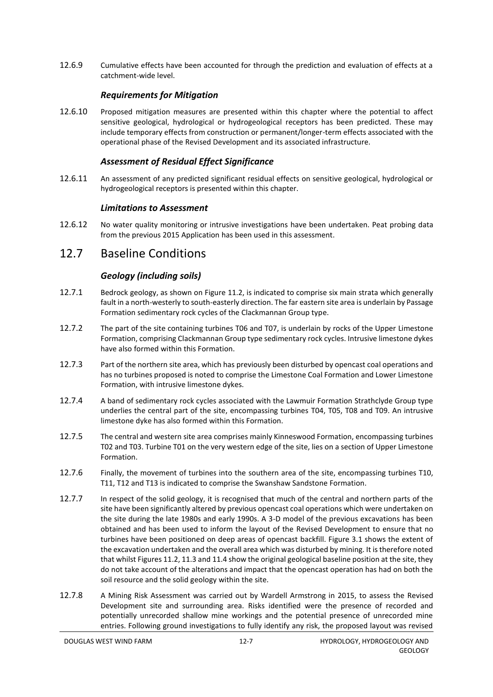12.6.9 Cumulative effects have been accounted for through the prediction and evaluation of effects at a catchment-wide level.

#### *Requirements for Mitigation*

12.6.10 Proposed mitigation measures are presented within this chapter where the potential to affect sensitive geological, hydrological or hydrogeological receptors has been predicted. These may include temporary effects from construction or permanent/longer-term effects associated with the operational phase of the Revised Development and its associated infrastructure.

#### *Assessment of Residual Effect Significance*

12.6.11 An assessment of any predicted significant residual effects on sensitive geological, hydrological or hydrogeological receptors is presented within this chapter.

#### *Limitations to Assessment*

12.6.12 No water quality monitoring or intrusive investigations have been undertaken. Peat probing data from the previous 2015 Application has been used in this assessment.

## <span id="page-8-0"></span>12.7 Baseline Conditions

#### *Geology (including soils)*

- 12.7.1 Bedrock geology, as shown on Figure 11.2, is indicated to comprise six main strata which generally fault in a north-westerly to south-easterly direction. The far eastern site area is underlain by Passage Formation sedimentary rock cycles of the Clackmannan Group type.
- 12.7.2 The part of the site containing turbines T06 and T07, is underlain by rocks of the Upper Limestone Formation, comprising Clackmannan Group type sedimentary rock cycles. Intrusive limestone dykes have also formed within this Formation.
- 12.7.3 Part of the northern site area, which has previously been disturbed by opencast coal operations and has no turbines proposed is noted to comprise the Limestone Coal Formation and Lower Limestone Formation, with intrusive limestone dykes.
- 12.7.4 A band of sedimentary rock cycles associated with the Lawmuir Formation Strathclyde Group type underlies the central part of the site, encompassing turbines T04, T05, T08 and T09. An intrusive limestone dyke has also formed within this Formation.
- 12.7.5 The central and western site area comprises mainly Kinneswood Formation, encompassing turbines T02 and T03. Turbine T01 on the very western edge of the site, lies on a section of Upper Limestone Formation.
- 12.7.6 Finally, the movement of turbines into the southern area of the site, encompassing turbines T10, T11, T12 and T13 is indicated to comprise the Swanshaw Sandstone Formation.
- 12.7.7 In respect of the solid geology, it is recognised that much of the central and northern parts of the site have been significantly altered by previous opencast coal operations which were undertaken on the site during the late 1980s and early 1990s. A 3-D model of the previous excavations has been obtained and has been used to inform the layout of the Revised Development to ensure that no turbines have been positioned on deep areas of opencast backfill. Figure 3.1 shows the extent of the excavation undertaken and the overall area which was disturbed by mining. It is therefore noted that whilst Figures 11.2, 11.3 and 11.4 show the original geological baseline position at the site, they do not take account of the alterations and impact that the opencast operation has had on both the soil resource and the solid geology within the site.
- 12.7.8 A Mining Risk Assessment was carried out by Wardell Armstrong in 2015, to assess the Revised Development site and surrounding area. Risks identified were the presence of recorded and potentially unrecorded shallow mine workings and the potential presence of unrecorded mine entries. Following ground investigations to fully identify any risk, the proposed layout was revised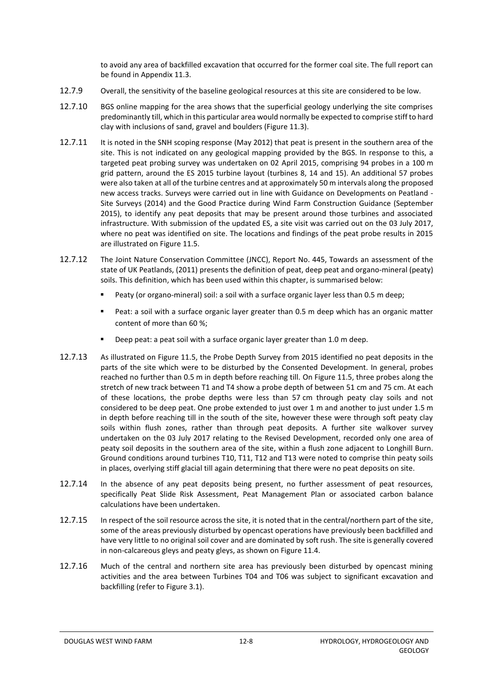to avoid any area of backfilled excavation that occurred for the former coal site. The full report can be found in Appendix 11.3.

- 12.7.9 Overall, the sensitivity of the baseline geological resources at this site are considered to be low.
- 12.7.10 BGS online mapping for the area shows that the superficial geology underlying the site comprises predominantly till, which in this particular area would normally be expected to comprise stiff to hard clay with inclusions of sand, gravel and boulders (Figure 11.3).
- 12.7.11 It is noted in the SNH scoping response (May 2012) that peat is present in the southern area of the site. This is not indicated on any geological mapping provided by the BGS. In response to this, a targeted peat probing survey was undertaken on 02 April 2015, comprising 94 probes in a 100 m grid pattern, around the ES 2015 turbine layout (turbines 8, 14 and 15). An additional 57 probes were also taken at all of the turbine centres and at approximately 50 m intervals along the proposed new access tracks. Surveys were carried out in line with Guidance on Developments on Peatland - Site Surveys (2014) and the Good Practice during Wind Farm Construction Guidance (September 2015), to identify any peat deposits that may be present around those turbines and associated infrastructure. With submission of the updated ES, a site visit was carried out on the 03 July 2017, where no peat was identified on site. The locations and findings of the peat probe results in 2015 are illustrated on Figure 11.5.
- 12.7.12 The Joint Nature Conservation Committee (JNCC), Report No. 445, Towards an assessment of the state of UK Peatlands, (2011) presents the definition of peat, deep peat and organo-mineral (peaty) soils. This definition, which has been used within this chapter, is summarised below:
	- Peaty (or organo-mineral) soil: a soil with a surface organic layer less than 0.5 m deep;
	- Peat: a soil with a surface organic layer greater than 0.5 m deep which has an organic matter content of more than 60 %;
	- Deep peat: a peat soil with a surface organic layer greater than 1.0 m deep.
- 12.7.13 As illustrated on Figure 11.5, the Probe Depth Survey from 2015 identified no peat deposits in the parts of the site which were to be disturbed by the Consented Development. In general, probes reached no further than 0.5 m in depth before reaching till. On Figure 11.5, three probes along the stretch of new track between T1 and T4 show a probe depth of between 51 cm and 75 cm. At each of these locations, the probe depths were less than 57 cm through peaty clay soils and not considered to be deep peat. One probe extended to just over 1 m and another to just under 1.5 m in depth before reaching till in the south of the site, however these were through soft peaty clay soils within flush zones, rather than through peat deposits. A further site walkover survey undertaken on the 03 July 2017 relating to the Revised Development, recorded only one area of peaty soil deposits in the southern area of the site, within a flush zone adjacent to Longhill Burn. Ground conditions around turbines T10, T11, T12 and T13 were noted to comprise thin peaty soils in places, overlying stiff glacial till again determining that there were no peat deposits on site.
- 12.7.14 In the absence of any peat deposits being present, no further assessment of peat resources, specifically Peat Slide Risk Assessment, Peat Management Plan or associated carbon balance calculations have been undertaken.
- 12.7.15 In respect of the soil resource across the site, it is noted that in the central/northern part of the site, some of the areas previously disturbed by opencast operations have previously been backfilled and have very little to no original soil cover and are dominated by soft rush. The site is generally covered in non-calcareous gleys and peaty gleys, as shown on Figure 11.4.
- 12.7.16 Much of the central and northern site area has previously been disturbed by opencast mining activities and the area between Turbines T04 and T06 was subject to significant excavation and backfilling (refer to Figure 3.1).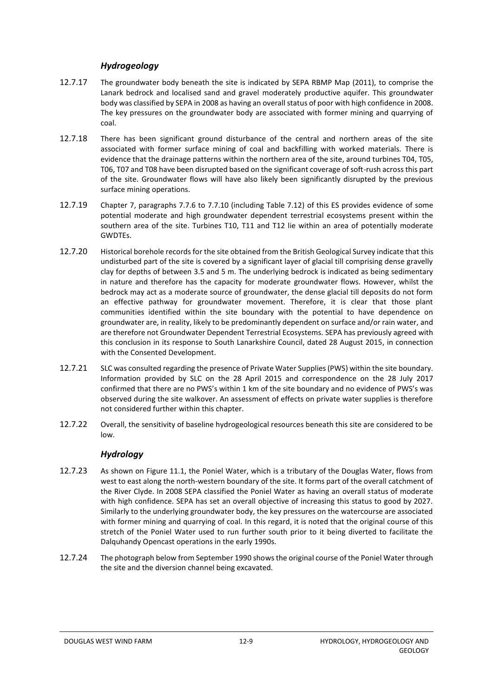#### *Hydrogeology*

- 12.7.17 The groundwater body beneath the site is indicated by SEPA RBMP Map (2011), to comprise the Lanark bedrock and localised sand and gravel moderately productive aquifer. This groundwater body was classified by SEPA in 2008 as having an overall status of poor with high confidence in 2008. The key pressures on the groundwater body are associated with former mining and quarrying of coal.
- 12.7.18 There has been significant ground disturbance of the central and northern areas of the site associated with former surface mining of coal and backfilling with worked materials. There is evidence that the drainage patterns within the northern area of the site, around turbines T04, T05, T06, T07 and T08 have been disrupted based on the significant coverage of soft-rush across this part of the site. Groundwater flows will have also likely been significantly disrupted by the previous surface mining operations.
- 12.7.19 Chapter 7, paragraphs 7.7.6 to 7.7.10 (including Table 7.12) of this ES provides evidence of some potential moderate and high groundwater dependent terrestrial ecosystems present within the southern area of the site. Turbines T10, T11 and T12 lie within an area of potentially moderate GWDTEs.
- 12.7.20 Historical borehole records for the site obtained from the British Geological Survey indicate that this undisturbed part of the site is covered by a significant layer of glacial till comprising dense gravelly clay for depths of between 3.5 and 5 m. The underlying bedrock is indicated as being sedimentary in nature and therefore has the capacity for moderate groundwater flows. However, whilst the bedrock may act as a moderate source of groundwater, the dense glacial till deposits do not form an effective pathway for groundwater movement. Therefore, it is clear that those plant communities identified within the site boundary with the potential to have dependence on groundwater are, in reality, likely to be predominantly dependent on surface and/or rain water, and are therefore not Groundwater Dependent Terrestrial Ecosystems. SEPA has previously agreed with this conclusion in its response to South Lanarkshire Council, dated 28 August 2015, in connection with the Consented Development.
- 12.7.21 SLC was consulted regarding the presence of Private Water Supplies (PWS) within the site boundary. Information provided by SLC on the 28 April 2015 and correspondence on the 28 July 2017 confirmed that there are no PWS's within 1 km of the site boundary and no evidence of PWS's was observed during the site walkover. An assessment of effects on private water supplies is therefore not considered further within this chapter.
- 12.7.22 Overall, the sensitivity of baseline hydrogeological resources beneath this site are considered to be low.

#### *Hydrology*

- 12.7.23 As shown on Figure 11.1, the Poniel Water, which is a tributary of the Douglas Water, flows from west to east along the north-western boundary of the site. It forms part of the overall catchment of the River Clyde. In 2008 SEPA classified the Poniel Water as having an overall status of moderate with high confidence. SEPA has set an overall objective of increasing this status to good by 2027. Similarly to the underlying groundwater body, the key pressures on the watercourse are associated with former mining and quarrying of coal. In this regard, it is noted that the original course of this stretch of the Poniel Water used to run further south prior to it being diverted to facilitate the Dalquhandy Opencast operations in the early 1990s.
- 12.7.24 The photograph below from September 1990 shows the original course of the Poniel Water through the site and the diversion channel being excavated.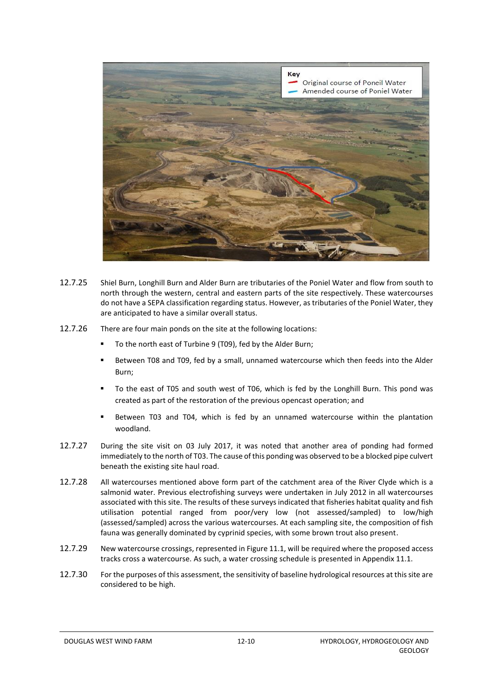

- 12.7.25 Shiel Burn, Longhill Burn and Alder Burn are tributaries of the Poniel Water and flow from south to north through the western, central and eastern parts of the site respectively. These watercourses do not have a SEPA classification regarding status. However, as tributaries of the Poniel Water, they are anticipated to have a similar overall status.
- 12.7.26 There are four main ponds on the site at the following locations:
	- To the north east of Turbine 9 (T09), fed by the Alder Burn;
	- Between T08 and T09, fed by a small, unnamed watercourse which then feeds into the Alder Burn;
	- To the east of T05 and south west of T06, which is fed by the Longhill Burn. This pond was created as part of the restoration of the previous opencast operation; and
	- Between T03 and T04, which is fed by an unnamed watercourse within the plantation woodland.
- 12.7.27 During the site visit on 03 July 2017, it was noted that another area of ponding had formed immediately to the north of T03. The cause of this ponding was observed to be a blocked pipe culvert beneath the existing site haul road.
- 12.7.28 All watercourses mentioned above form part of the catchment area of the River Clyde which is a salmonid water. Previous electrofishing surveys were undertaken in July 2012 in all watercourses associated with this site. The results of these surveys indicated that fisheries habitat quality and fish utilisation potential ranged from poor/very low (not assessed/sampled) to low/high (assessed/sampled) across the various watercourses. At each sampling site, the composition of fish fauna was generally dominated by cyprinid species, with some brown trout also present.
- 12.7.29 New watercourse crossings, represented in Figure 11.1, will be required where the proposed access tracks cross a watercourse. As such, a water crossing schedule is presented in Appendix 11.1.
- 12.7.30 For the purposes of this assessment, the sensitivity of baseline hydrological resources at this site are considered to be high.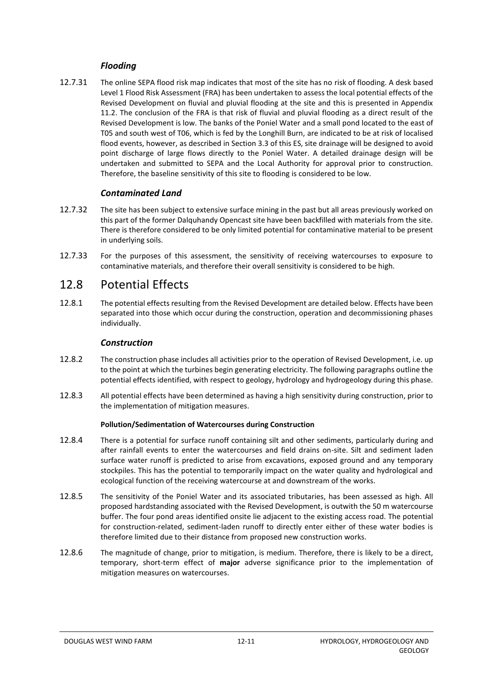#### *Flooding*

12.7.31 The online SEPA flood risk map indicates that most of the site has no risk of flooding. A desk based Level 1 Flood Risk Assessment (FRA) has been undertaken to assess the local potential effects of the Revised Development on fluvial and pluvial flooding at the site and this is presented in Appendix 11.2. The conclusion of the FRA is that risk of fluvial and pluvial flooding as a direct result of the Revised Development is low. The banks of the Poniel Water and a small pond located to the east of T05 and south west of T06, which is fed by the Longhill Burn, are indicated to be at risk of localised flood events, however, as described in Section 3.3 of this ES, site drainage will be designed to avoid point discharge of large flows directly to the Poniel Water. A detailed drainage design will be undertaken and submitted to SEPA and the Local Authority for approval prior to construction. Therefore, the baseline sensitivity of this site to flooding is considered to be low.

#### *Contaminated Land*

- 12.7.32 The site has been subject to extensive surface mining in the past but all areas previously worked on this part of the former Dalquhandy Opencast site have been backfilled with materials from the site. There is therefore considered to be only limited potential for contaminative material to be present in underlying soils.
- 12.7.33 For the purposes of this assessment, the sensitivity of receiving watercourses to exposure to contaminative materials, and therefore their overall sensitivity is considered to be high.

### <span id="page-12-0"></span>12.8 Potential Effects

12.8.1 The potential effects resulting from the Revised Development are detailed below. Effects have been separated into those which occur during the construction, operation and decommissioning phases individually.

#### *Construction*

- 12.8.2 The construction phase includes all activities prior to the operation of Revised Development, i.e. up to the point at which the turbines begin generating electricity. The following paragraphs outline the potential effects identified, with respect to geology, hydrology and hydrogeology during this phase.
- 12.8.3 All potential effects have been determined as having a high sensitivity during construction, prior to the implementation of mitigation measures.

#### **Pollution/Sedimentation of Watercourses during Construction**

- 12.8.4 There is a potential for surface runoff containing silt and other sediments, particularly during and after rainfall events to enter the watercourses and field drains on-site. Silt and sediment laden surface water runoff is predicted to arise from excavations, exposed ground and any temporary stockpiles. This has the potential to temporarily impact on the water quality and hydrological and ecological function of the receiving watercourse at and downstream of the works.
- 12.8.5 The sensitivity of the Poniel Water and its associated tributaries, has been assessed as high. All proposed hardstanding associated with the Revised Development, is outwith the 50 m watercourse buffer. The four pond areas identified onsite lie adjacent to the existing access road. The potential for construction-related, sediment-laden runoff to directly enter either of these water bodies is therefore limited due to their distance from proposed new construction works.
- 12.8.6 The magnitude of change, prior to mitigation, is medium. Therefore, there is likely to be a direct, temporary, short-term effect of **major** adverse significance prior to the implementation of mitigation measures on watercourses.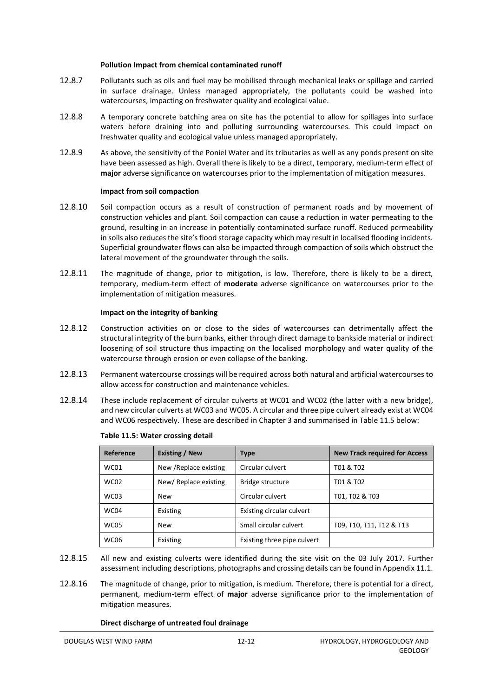#### **Pollution Impact from chemical contaminated runoff**

- 12.8.7 Pollutants such as oils and fuel may be mobilised through mechanical leaks or spillage and carried in surface drainage. Unless managed appropriately, the pollutants could be washed into watercourses, impacting on freshwater quality and ecological value.
- 12.8.8 A temporary concrete batching area on site has the potential to allow for spillages into surface waters before draining into and polluting surrounding watercourses. This could impact on freshwater quality and ecological value unless managed appropriately.
- 12.8.9 As above, the sensitivity of the Poniel Water and its tributaries as well as any ponds present on site have been assessed as high. Overall there is likely to be a direct, temporary, medium-term effect of **major** adverse significance on watercourses prior to the implementation of mitigation measures.

#### **Impact from soil compaction**

- 12.8.10 Soil compaction occurs as a result of construction of permanent roads and by movement of construction vehicles and plant. Soil compaction can cause a reduction in water permeating to the ground, resulting in an increase in potentially contaminated surface runoff. Reduced permeability in soils also reduces the site's flood storage capacity which may result in localised flooding incidents. Superficial groundwater flows can also be impacted through compaction of soils which obstruct the lateral movement of the groundwater through the soils.
- 12.8.11 The magnitude of change, prior to mitigation, is low. Therefore, there is likely to be a direct, temporary, medium-term effect of **moderate** adverse significance on watercourses prior to the implementation of mitigation measures.

#### **Impact on the integrity of banking**

- 12.8.12 Construction activities on or close to the sides of watercourses can detrimentally affect the structural integrity of the burn banks, either through direct damage to bankside material or indirect loosening of soil structure thus impacting on the localised morphology and water quality of the watercourse through erosion or even collapse of the banking.
- 12.8.13 Permanent watercourse crossings will be required across both natural and artificial watercourses to allow access for construction and maintenance vehicles.
- 12.8.14 These include replacement of circular culverts at WC01 and WC02 (the latter with a new bridge), and new circular culverts at WC03 and WC05. A circular and three pipe culvert already exist at WC04 and WC06 respectively. These are described in Chapter 3 and summarised in Table 11.5 below:

| Reference   | <b>Existing / New</b> | <b>Type</b>                 | <b>New Track required for Access</b> |
|-------------|-----------------------|-----------------------------|--------------------------------------|
| WC01        | New /Replace existing | Circular culvert            | T01 & T02                            |
| <b>WC02</b> | New/Replace existing  | Bridge structure            | T01 & T02                            |
| WC03        | <b>New</b>            | Circular culvert            | T01, T02 & T03                       |
| WC04        | Existing              | Existing circular culvert   |                                      |
| WC05        | <b>New</b>            | Small circular culvert      | T09, T10, T11, T12 & T13             |
| WC06        | Existing              | Existing three pipe culvert |                                      |

#### **Table 11.5: Water crossing detail**

- 12.8.15 All new and existing culverts were identified during the site visit on the 03 July 2017. Further assessment including descriptions, photographs and crossing details can be found in Appendix 11.1.
- 12.8.16 The magnitude of change, prior to mitigation, is medium. Therefore, there is potential for a direct, permanent, medium-term effect of **major** adverse significance prior to the implementation of mitigation measures.

**Direct discharge of untreated foul drainage**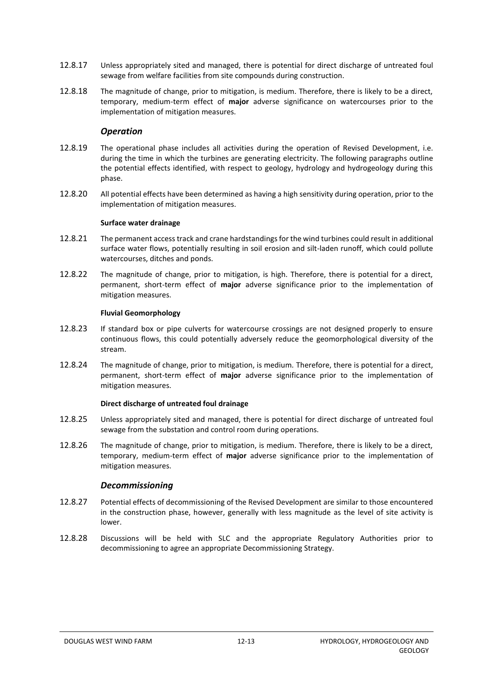- 12.8.17 Unless appropriately sited and managed, there is potential for direct discharge of untreated foul sewage from welfare facilities from site compounds during construction.
- 12.8.18 The magnitude of change, prior to mitigation, is medium. Therefore, there is likely to be a direct, temporary, medium-term effect of **major** adverse significance on watercourses prior to the implementation of mitigation measures.

#### *Operation*

- 12.8.19 The operational phase includes all activities during the operation of Revised Development, i.e. during the time in which the turbines are generating electricity. The following paragraphs outline the potential effects identified, with respect to geology, hydrology and hydrogeology during this phase.
- 12.8.20 All potential effects have been determined as having a high sensitivity during operation, prior to the implementation of mitigation measures.

#### **Surface water drainage**

- 12.8.21 The permanent access track and crane hardstandings for the wind turbines could result in additional surface water flows, potentially resulting in soil erosion and silt-laden runoff, which could pollute watercourses, ditches and ponds.
- 12.8.22 The magnitude of change, prior to mitigation, is high. Therefore, there is potential for a direct, permanent, short-term effect of **major** adverse significance prior to the implementation of mitigation measures.

#### **Fluvial Geomorphology**

- 12.8.23 If standard box or pipe culverts for watercourse crossings are not designed properly to ensure continuous flows, this could potentially adversely reduce the geomorphological diversity of the stream.
- 12.8.24 The magnitude of change, prior to mitigation, is medium. Therefore, there is potential for a direct, permanent, short-term effect of **major** adverse significance prior to the implementation of mitigation measures.

#### **Direct discharge of untreated foul drainage**

- 12.8.25 Unless appropriately sited and managed, there is potential for direct discharge of untreated foul sewage from the substation and control room during operations.
- 12.8.26 The magnitude of change, prior to mitigation, is medium. Therefore, there is likely to be a direct, temporary, medium-term effect of **major** adverse significance prior to the implementation of mitigation measures.

#### *Decommissioning*

- 12.8.27 Potential effects of decommissioning of the Revised Development are similar to those encountered in the construction phase, however, generally with less magnitude as the level of site activity is lower.
- <span id="page-14-0"></span>12.8.28 Discussions will be held with SLC and the appropriate Regulatory Authorities prior to decommissioning to agree an appropriate Decommissioning Strategy.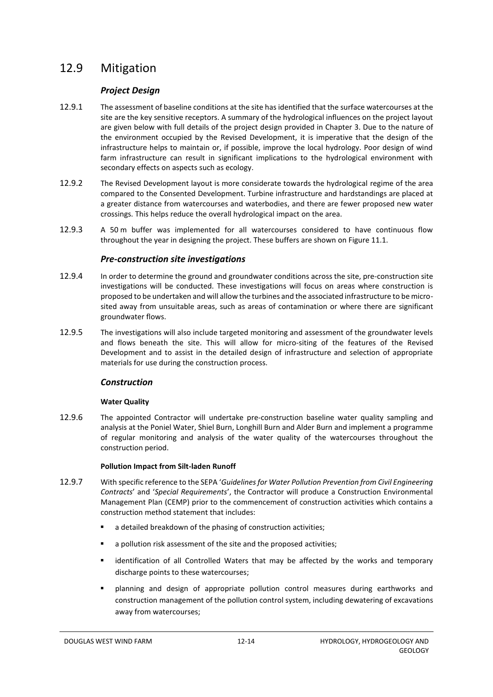# 12.9 Mitigation

#### *Project Design*

- 12.9.1 The assessment of baseline conditions at the site has identified that the surface watercourses at the site are the key sensitive receptors. A summary of the hydrological influences on the project layout are given below with full details of the project design provided in Chapter 3. Due to the nature of the environment occupied by the Revised Development, it is imperative that the design of the infrastructure helps to maintain or, if possible, improve the local hydrology. Poor design of wind farm infrastructure can result in significant implications to the hydrological environment with secondary effects on aspects such as ecology.
- 12.9.2 The Revised Development layout is more considerate towards the hydrological regime of the area compared to the Consented Development. Turbine infrastructure and hardstandings are placed at a greater distance from watercourses and waterbodies, and there are fewer proposed new water crossings. This helps reduce the overall hydrological impact on the area.
- 12.9.3 A 50 m buffer was implemented for all watercourses considered to have continuous flow throughout the year in designing the project. These buffers are shown on Figure 11.1.

#### *Pre-construction site investigations*

- 12.9.4 In order to determine the ground and groundwater conditions across the site, pre-construction site investigations will be conducted. These investigations will focus on areas where construction is proposed to be undertaken and will allow the turbines and the associated infrastructure to be microsited away from unsuitable areas, such as areas of contamination or where there are significant groundwater flows.
- 12.9.5 The investigations will also include targeted monitoring and assessment of the groundwater levels and flows beneath the site. This will allow for micro-siting of the features of the Revised Development and to assist in the detailed design of infrastructure and selection of appropriate materials for use during the construction process.

#### *Construction*

#### **Water Quality**

12.9.6 The appointed Contractor will undertake pre-construction baseline water quality sampling and analysis at the Poniel Water, Shiel Burn, Longhill Burn and Alder Burn and implement a programme of regular monitoring and analysis of the water quality of the watercourses throughout the construction period.

#### **Pollution Impact from Silt-laden Runoff**

- 12.9.7 With specific reference to the SEPA '*Guidelines for Water Pollution Prevention from Civil Engineering Contracts*' and '*Special Requirements*', the Contractor will produce a Construction Environmental Management Plan (CEMP) prior to the commencement of construction activities which contains a construction method statement that includes:
	- a detailed breakdown of the phasing of construction activities;
	- a pollution risk assessment of the site and the proposed activities;
	- **EXECT** identification of all Controlled Waters that may be affected by the works and temporary discharge points to these watercourses;
	- planning and design of appropriate pollution control measures during earthworks and construction management of the pollution control system, including dewatering of excavations away from watercourses;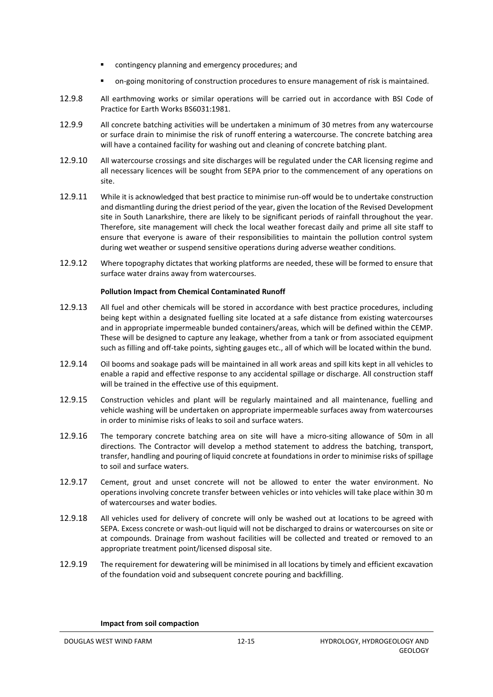- contingency planning and emergency procedures; and
- on-going monitoring of construction procedures to ensure management of risk is maintained.
- 12.9.8 All earthmoving works or similar operations will be carried out in accordance with BSI Code of Practice for Earth Works BS6031:1981.
- 12.9.9 All concrete batching activities will be undertaken a minimum of 30 metres from any watercourse or surface drain to minimise the risk of runoff entering a watercourse. The concrete batching area will have a contained facility for washing out and cleaning of concrete batching plant.
- 12.9.10 All watercourse crossings and site discharges will be regulated under the CAR licensing regime and all necessary licences will be sought from SEPA prior to the commencement of any operations on site.
- 12.9.11 While it is acknowledged that best practice to minimise run-off would be to undertake construction and dismantling during the driest period of the year, given the location of the Revised Development site in South Lanarkshire, there are likely to be significant periods of rainfall throughout the year. Therefore, site management will check the local weather forecast daily and prime all site staff to ensure that everyone is aware of their responsibilities to maintain the pollution control system during wet weather or suspend sensitive operations during adverse weather conditions.
- 12.9.12 Where topography dictates that working platforms are needed, these will be formed to ensure that surface water drains away from watercourses.

#### **Pollution Impact from Chemical Contaminated Runoff**

- 12.9.13 All fuel and other chemicals will be stored in accordance with best practice procedures, including being kept within a designated fuelling site located at a safe distance from existing watercourses and in appropriate impermeable bunded containers/areas, which will be defined within the CEMP. These will be designed to capture any leakage, whether from a tank or from associated equipment such as filling and off-take points, sighting gauges etc., all of which will be located within the bund.
- 12.9.14 Oil booms and soakage pads will be maintained in all work areas and spill kits kept in all vehicles to enable a rapid and effective response to any accidental spillage or discharge. All construction staff will be trained in the effective use of this equipment.
- 12.9.15 Construction vehicles and plant will be regularly maintained and all maintenance, fuelling and vehicle washing will be undertaken on appropriate impermeable surfaces away from watercourses in order to minimise risks of leaks to soil and surface waters.
- 12.9.16 The temporary concrete batching area on site will have a micro-siting allowance of 50m in all directions. The Contractor will develop a method statement to address the batching, transport, transfer, handling and pouring of liquid concrete at foundations in order to minimise risks of spillage to soil and surface waters.
- 12.9.17 Cement, grout and unset concrete will not be allowed to enter the water environment. No operations involving concrete transfer between vehicles or into vehicles will take place within 30 m of watercourses and water bodies.
- 12.9.18 All vehicles used for delivery of concrete will only be washed out at locations to be agreed with SEPA. Excess concrete or wash-out liquid will not be discharged to drains or watercourses on site or at compounds. Drainage from washout facilities will be collected and treated or removed to an appropriate treatment point/licensed disposal site.
- 12.9.19 The requirement for dewatering will be minimised in all locations by timely and efficient excavation of the foundation void and subsequent concrete pouring and backfilling.

**Impact from soil compaction**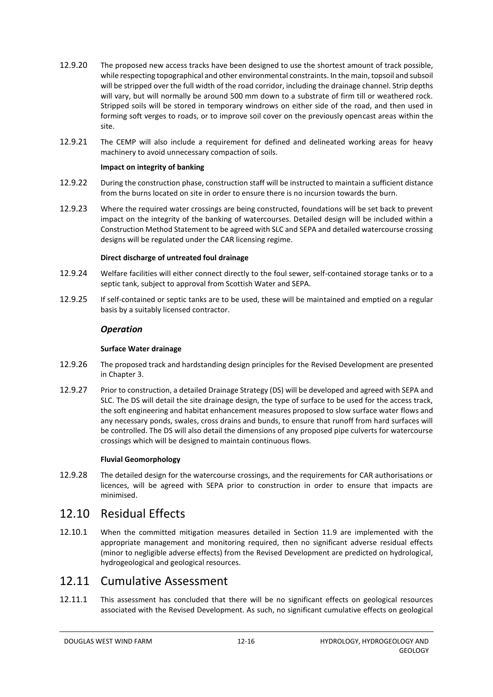- 12.9.20 The proposed new access tracks have been designed to use the shortest amount of track possible, while respecting topographical and other environmental constraints. In the main, topsoil and subsoil will be stripped over the full width of the road corridor, including the drainage channel. Strip depths will vary, but will normally be around 500 mm down to a substrate of firm till or weathered rock. Stripped soils will be stored in temporary windrows on either side of the road, and then used in forming soft verges to roads, or to improve soil cover on the previously opencast areas within the site.
- 12.9.21 The CEMP will also include a requirement for defined and delineated working areas for heavy machinery to avoid unnecessary compaction of soils.

#### **Impact on integrity of banking**

- 12.9.22 During the construction phase, construction staff will be instructed to maintain a sufficient distance from the burns located on site in order to ensure there is no incursion towards the burn.
- 12.9.23 Where the required water crossings are being constructed, foundations will be set back to prevent impact on the integrity of the banking of watercourses. Detailed design will be included within a Construction Method Statement to be agreed with SLC and SEPA and detailed watercourse crossing designs will be regulated under the CAR licensing regime.

#### **Direct discharge of untreated foul drainage**

- 12.9.24 Welfare facilities will either connect directly to the foul sewer, self-contained storage tanks or to a septic tank, subject to approval from Scottish Water and SEPA.
- 12.9.25 If self-contained or septic tanks are to be used, these will be maintained and emptied on a regular basis by a suitably licensed contractor.

#### *Operation*

#### **Surface Water drainage**

- 12.9.26 The proposed track and hardstanding design principles for the Revised Development are presented in Chapter 3.
- 12.9.27 Prior to construction, a detailed Drainage Strategy (DS) will be developed and agreed with SEPA and SLC. The DS will detail the site drainage design, the type of surface to be used for the access track, the soft engineering and habitat enhancement measures proposed to slow surface water flows and any necessary ponds, swales, cross drains and bunds, to ensure that runoff from hard surfaces will be controlled. The DS will also detail the dimensions of any proposed pipe culverts for watercourse crossings which will be designed to maintain continuous flows.

#### **Fluvial Geomorphology**

12.9.28 The detailed design for the watercourse crossings, and the requirements for CAR authorisations or licences, will be agreed with SEPA prior to construction in order to ensure that impacts are minimised.

### <span id="page-17-0"></span>12.10 Residual Effects

12.10.1 When the committed mitigation measures detailed in Section 11.9 are implemented with the appropriate management and monitoring required, then no significant adverse residual effects (minor to negligible adverse effects) from the Revised Development are predicted on hydrological, hydrogeological and geological resources.

### <span id="page-17-1"></span>12.11 Cumulative Assessment

12.11.1 This assessment has concluded that there will be no significant effects on geological resources associated with the Revised Development. As such, no significant cumulative effects on geological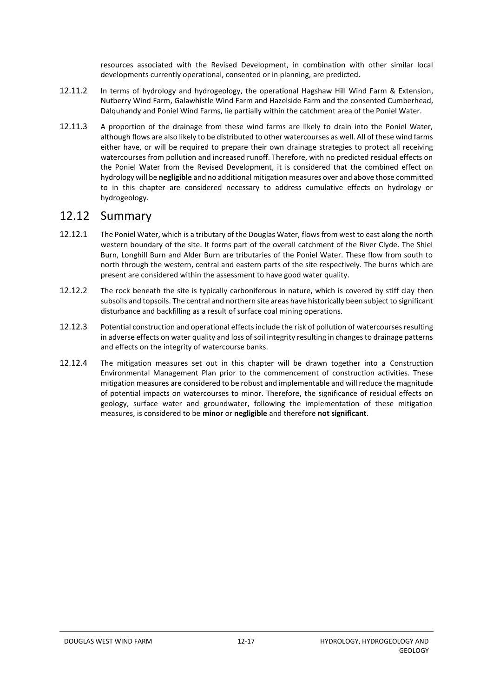resources associated with the Revised Development, in combination with other similar local developments currently operational, consented or in planning, are predicted.

- 12.11.2 In terms of hydrology and hydrogeology, the operational Hagshaw Hill Wind Farm & Extension, Nutberry Wind Farm, Galawhistle Wind Farm and Hazelside Farm and the consented Cumberhead, Dalquhandy and Poniel Wind Farms, lie partially within the catchment area of the Poniel Water.
- 12.11.3 A proportion of the drainage from these wind farms are likely to drain into the Poniel Water, although flows are also likely to be distributed to other watercourses as well. All of these wind farms either have, or will be required to prepare their own drainage strategies to protect all receiving watercourses from pollution and increased runoff. Therefore, with no predicted residual effects on the Poniel Water from the Revised Development, it is considered that the combined effect on hydrology will be **negligible** and no additional mitigation measures over and above those committed to in this chapter are considered necessary to address cumulative effects on hydrology or hydrogeology.

### <span id="page-18-0"></span>12.12 Summary

- 12.12.1 The Poniel Water, which is a tributary of the Douglas Water, flows from west to east along the north western boundary of the site. It forms part of the overall catchment of the River Clyde. The Shiel Burn, Longhill Burn and Alder Burn are tributaries of the Poniel Water. These flow from south to north through the western, central and eastern parts of the site respectively. The burns which are present are considered within the assessment to have good water quality.
- 12.12.2 The rock beneath the site is typically carboniferous in nature, which is covered by stiff clay then subsoils and topsoils. The central and northern site areas have historically been subject to significant disturbance and backfilling as a result of surface coal mining operations.
- 12.12.3 Potential construction and operational effects include the risk of pollution of watercourses resulting in adverse effects on water quality and loss of soil integrity resulting in changes to drainage patterns and effects on the integrity of watercourse banks.
- 12.12.4 The mitigation measures set out in this chapter will be drawn together into a Construction Environmental Management Plan prior to the commencement of construction activities. These mitigation measures are considered to be robust and implementable and will reduce the magnitude of potential impacts on watercourses to minor. Therefore, the significance of residual effects on geology, surface water and groundwater, following the implementation of these mitigation measures, is considered to be **minor** or **negligible** and therefore **not significant**.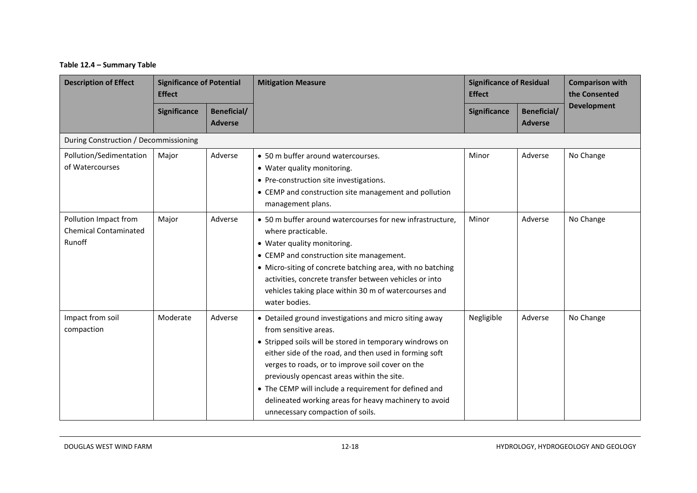#### **Table 12.4 – Summary Table**

| <b>Description of Effect</b>                                    | <b>Significance of Potential</b><br><b>Effect</b> |                                      | <b>Mitigation Measure</b>                                                                                                                                                                                                                                                                                                                                                                                                                                     | <b>Significance of Residual</b><br><b>Effect</b> |                                      | <b>Comparison with</b><br>the Consented |  |
|-----------------------------------------------------------------|---------------------------------------------------|--------------------------------------|---------------------------------------------------------------------------------------------------------------------------------------------------------------------------------------------------------------------------------------------------------------------------------------------------------------------------------------------------------------------------------------------------------------------------------------------------------------|--------------------------------------------------|--------------------------------------|-----------------------------------------|--|
|                                                                 | <b>Significance</b>                               | <b>Beneficial/</b><br><b>Adverse</b> |                                                                                                                                                                                                                                                                                                                                                                                                                                                               | Significance                                     | <b>Beneficial/</b><br><b>Adverse</b> | <b>Development</b>                      |  |
| During Construction / Decommissioning                           |                                                   |                                      |                                                                                                                                                                                                                                                                                                                                                                                                                                                               |                                                  |                                      |                                         |  |
| Pollution/Sedimentation<br>of Watercourses                      | Major                                             | Adverse                              | • 50 m buffer around watercourses.<br>• Water quality monitoring.<br>• Pre-construction site investigations.<br>• CEMP and construction site management and pollution<br>management plans.                                                                                                                                                                                                                                                                    | Minor                                            | Adverse                              | No Change                               |  |
| Pollution Impact from<br><b>Chemical Contaminated</b><br>Runoff | Major                                             | Adverse                              | • 50 m buffer around watercourses for new infrastructure,<br>where practicable.<br>• Water quality monitoring.<br>• CEMP and construction site management.<br>• Micro-siting of concrete batching area, with no batching<br>activities, concrete transfer between vehicles or into<br>vehicles taking place within 30 m of watercourses and<br>water bodies.                                                                                                  | Minor                                            | Adverse                              | No Change                               |  |
| Impact from soil<br>compaction                                  | Moderate                                          | Adverse                              | • Detailed ground investigations and micro siting away<br>from sensitive areas.<br>• Stripped soils will be stored in temporary windrows on<br>either side of the road, and then used in forming soft<br>verges to roads, or to improve soil cover on the<br>previously opencast areas within the site.<br>• The CEMP will include a requirement for defined and<br>delineated working areas for heavy machinery to avoid<br>unnecessary compaction of soils. | Negligible                                       | Adverse                              | No Change                               |  |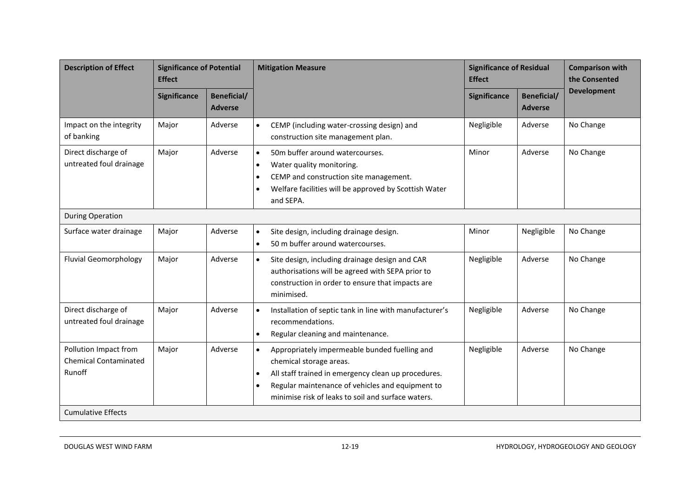| <b>Description of Effect</b>                                    | <b>Significance of Potential</b><br><b>Effect</b> |                                      | <b>Mitigation Measure</b>                                                                                                                                                                                                                                           | <b>Significance of Residual</b><br><b>Effect</b> |                                      | <b>Comparison with</b><br>the Consented |  |  |
|-----------------------------------------------------------------|---------------------------------------------------|--------------------------------------|---------------------------------------------------------------------------------------------------------------------------------------------------------------------------------------------------------------------------------------------------------------------|--------------------------------------------------|--------------------------------------|-----------------------------------------|--|--|
|                                                                 | Significance                                      | <b>Beneficial/</b><br><b>Adverse</b> |                                                                                                                                                                                                                                                                     | <b>Significance</b>                              | <b>Beneficial/</b><br><b>Adverse</b> | <b>Development</b>                      |  |  |
| Impact on the integrity<br>of banking                           | Major                                             | Adverse                              | CEMP (including water-crossing design) and<br>$\bullet$<br>construction site management plan.                                                                                                                                                                       | Negligible                                       | Adverse                              | No Change                               |  |  |
| Direct discharge of<br>untreated foul drainage                  | Major                                             | Adverse                              | 50m buffer around watercourses.<br>$\bullet$<br>Water quality monitoring.<br>$\bullet$<br>CEMP and construction site management.<br>$\bullet$<br>Welfare facilities will be approved by Scottish Water<br>and SEPA.                                                 | Minor                                            | Adverse                              | No Change                               |  |  |
| <b>During Operation</b>                                         |                                                   |                                      |                                                                                                                                                                                                                                                                     |                                                  |                                      |                                         |  |  |
| Surface water drainage                                          | Major                                             | Adverse                              | Site design, including drainage design.<br>$\bullet$<br>50 m buffer around watercourses.<br>$\bullet$                                                                                                                                                               | Minor                                            | Negligible                           | No Change                               |  |  |
| <b>Fluvial Geomorphology</b>                                    | Major                                             | Adverse                              | Site design, including drainage design and CAR<br>$\bullet$<br>authorisations will be agreed with SEPA prior to<br>construction in order to ensure that impacts are<br>minimised.                                                                                   | Negligible                                       | Adverse                              | No Change                               |  |  |
| Direct discharge of<br>untreated foul drainage                  | Major                                             | Adverse                              | Installation of septic tank in line with manufacturer's<br>recommendations.<br>Regular cleaning and maintenance.<br>$\bullet$                                                                                                                                       | Negligible                                       | Adverse                              | No Change                               |  |  |
| Pollution Impact from<br><b>Chemical Contaminated</b><br>Runoff | Major                                             | Adverse                              | Appropriately impermeable bunded fuelling and<br>chemical storage areas.<br>All staff trained in emergency clean up procedures.<br>$\bullet$<br>Regular maintenance of vehicles and equipment to<br>$\bullet$<br>minimise risk of leaks to soil and surface waters. | Negligible                                       | Adverse                              | No Change                               |  |  |
| <b>Cumulative Effects</b>                                       |                                                   |                                      |                                                                                                                                                                                                                                                                     |                                                  |                                      |                                         |  |  |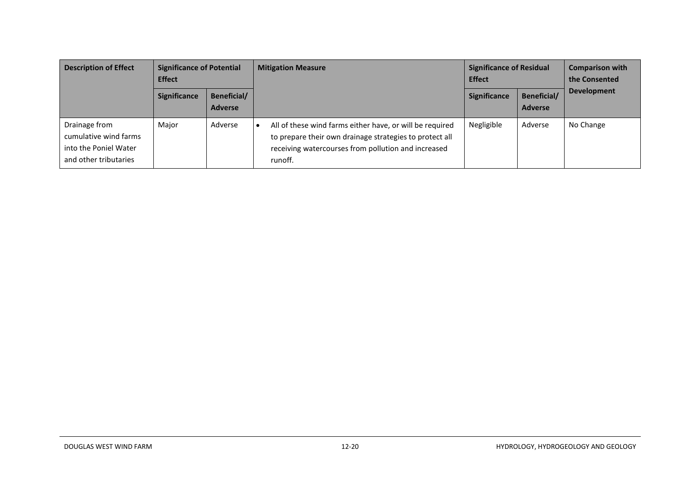| <b>Significance of Potential</b><br><b>Description of Effect</b><br><b>Effect</b>        |                     |                               | <b>Mitigation Measure</b>                                                                                                                                                             | <b>Significance of Residual</b><br><b>Effect</b> |                                      | <b>Comparison with</b><br>the Consented |
|------------------------------------------------------------------------------------------|---------------------|-------------------------------|---------------------------------------------------------------------------------------------------------------------------------------------------------------------------------------|--------------------------------------------------|--------------------------------------|-----------------------------------------|
|                                                                                          | <b>Significance</b> | Beneficial/<br><b>Adverse</b> |                                                                                                                                                                                       | <b>Significance</b>                              | <b>Beneficial/</b><br><b>Adverse</b> | <b>Development</b>                      |
| Drainage from<br>cumulative wind farms<br>into the Poniel Water<br>and other tributaries | Major               | Adverse                       | All of these wind farms either have, or will be required<br>to prepare their own drainage strategies to protect all<br>receiving watercourses from pollution and increased<br>runoff. | Negligible                                       | Adverse                              | No Change                               |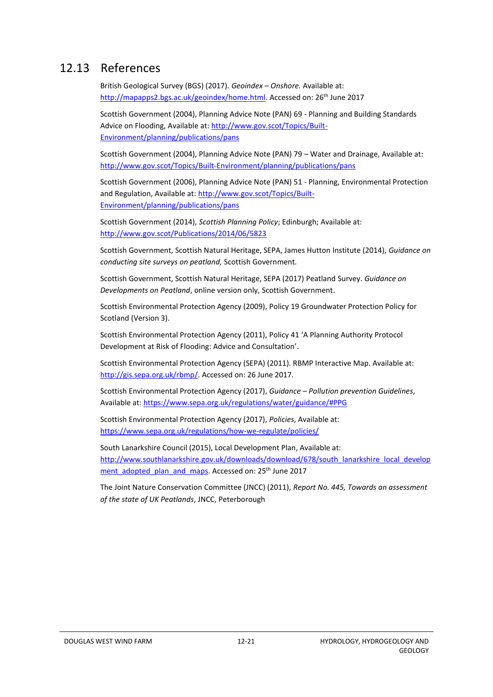# <span id="page-22-0"></span>12.13 References

British Geological Survey (BGS) (2017). *Geoindex – Onshore.* Available at: [http://mapapps2.bgs.ac.uk/geoindex/home.html.](http://mapapps2.bgs.ac.uk/geoindex/home.html) Accessed on: 26<sup>th</sup> June 2017

Scottish Government (2004), Planning Advice Note (PAN) 69 - Planning and Building Standards Advice on Flooding, Available at: [http://www.gov.scot/Topics/Built-](http://www.gov.scot/Topics/Built-Environment/planning/publications/pans)[Environment/planning/publications/pans](http://www.gov.scot/Topics/Built-Environment/planning/publications/pans)

Scottish Government (2004), Planning Advice Note (PAN) 79 – Water and Drainage, Available at: <http://www.gov.scot/Topics/Built-Environment/planning/publications/pans>

Scottish Government (2006), Planning Advice Note (PAN) 51 - Planning, Environmental Protection and Regulation, Available at: [http://www.gov.scot/Topics/Built-](http://www.gov.scot/Topics/Built-Environment/planning/publications/pans)[Environment/planning/publications/pans](http://www.gov.scot/Topics/Built-Environment/planning/publications/pans)

Scottish Government (2014), *Scottish Planning Policy*; Edinburgh; Available at: <http://www.gov.scot/Publications/2014/06/5823>

Scottish Government, Scottish Natural Heritage, SEPA, James Hutton Institute (2014), *Guidance on conducting site surveys on peatland,* Scottish Government*.*

Scottish Government, Scottish Natural Heritage, SEPA (2017) Peatland Survey. *Guidance on Developments on Peatland*, online version only, Scottish Government.

Scottish Environmental Protection Agency (2009), Policy 19 Groundwater Protection Policy for Scotland (Version 3).

Scottish Environmental Protection Agency (2011), Policy 41 'A Planning Authority Protocol Development at Risk of Flooding: Advice and Consultation'.

Scottish Environmental Protection Agency (SEPA) (2011). RBMP Interactive Map. Available at: [http://gis.sepa.org.uk/rbmp/.](http://gis.sepa.org.uk/rbmp/) Accessed on: 26 June 2017.

Scottish Environmental Protection Agency (2017), *Guidance – Pollution prevention Guidelines*, Available at:<https://www.sepa.org.uk/regulations/water/guidance/#PPG>

Scottish Environmental Protection Agency (2017), *Policies*, Available at: <https://www.sepa.org.uk/regulations/how-we-regulate/policies/>

South Lanarkshire Council (2015), Local Development Plan, Available at: [http://www.southlanarkshire.gov.uk/downloads/download/678/south\\_lanarkshire\\_local\\_develop](http://www.southlanarkshire.gov.uk/downloads/download/678/south_lanarkshire_local_development_adopted_plan_and_maps) [ment\\_adopted\\_plan\\_and\\_maps.](http://www.southlanarkshire.gov.uk/downloads/download/678/south_lanarkshire_local_development_adopted_plan_and_maps) Accessed on: 25<sup>th</sup> June 2017

The Joint Nature Conservation Committee (JNCC) (2011), *Report No. 445, Towards an assessment of the state of UK Peatlands*, JNCC, Peterborough